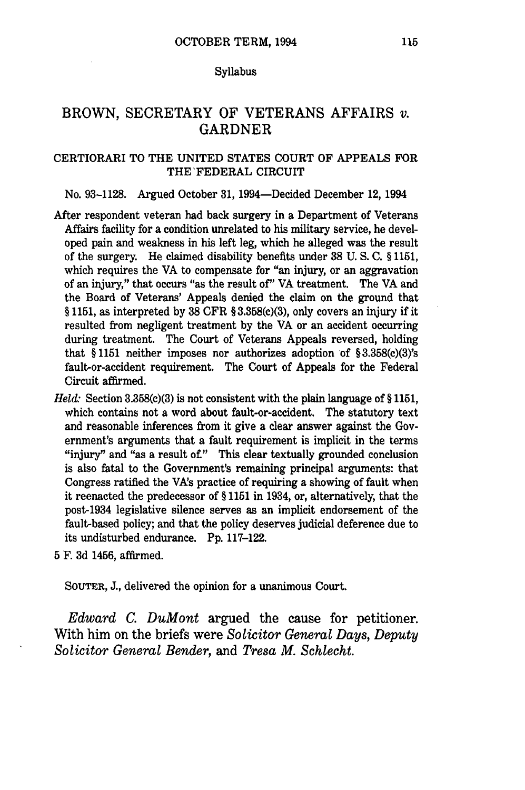#### Syllabus

# BROWN, SECRETARY OF VETERANS AFFAIRS *v.* GARDNER

## CERTIORARI TO THE UNITED STATES COURT OF APPEALS FOR THE'FEDERAL CIRCUIT

### No. 93-1128. Argued October 31, 1994-Decided December 12, 1994

- After respondent veteran had back surgery in a Department of Veterans Affairs facility for a condition unrelated to his military service, he developed pain and weakness in his left leg, which he alleged was the result of the surgery. He claimed disability benefits under **38** U. S. C. § 1151, which requires the VA to compensate for "an injury, or an aggravation of an injury," that occurs "as the result of" VA treatment. The VA and the Board of Veterans' Appeals denied the claim on the ground that § 1151, as interpreted by 38 CFR § 3.358(c)(3), only covers an injury if it resulted from negligent treatment by the VA or an accident occurring during treatment. The Court of Veterans Appeals reversed, holding that **§** 1151 neither imposes nor authorizes adoption of § 3.358(c)(3)'s fault-or-accident requirement. The Court of Appeals for the Federal Circuit affirmed.
- *Held:* Section 3.358(c)(3) is not consistent with the plain language of §1151, which contains not a word about fault-or-accident. The statutory text and reasonable inferences from it give a clear answer against the Government's arguments that a fault requirement is implicit in the terms "injury" and "as a result of," This clear textually grounded conclusion is also fatal to the Government's remaining principal arguments: that Congress ratified the VA's practice of requiring a showing of fault when it reenacted the predecessor of § 1151 in 1934, or, alternatively, that the post-1934 legislative silence serves as an implicit endorsement of the fault-based policy; and that the policy deserves judicial deference due to its undisturbed endurance. Pp. 117-122.
- 5 F. 3d 1456, affirmed.

SOUTER, J., delivered the opinion for a unanimous Court.

*Edward C. DuMont* argued the cause for petitioner. With him on the briefs were *Solicitor General Days, Deputy Solicitor General Bender,* and *Tresa M. Schlecht.*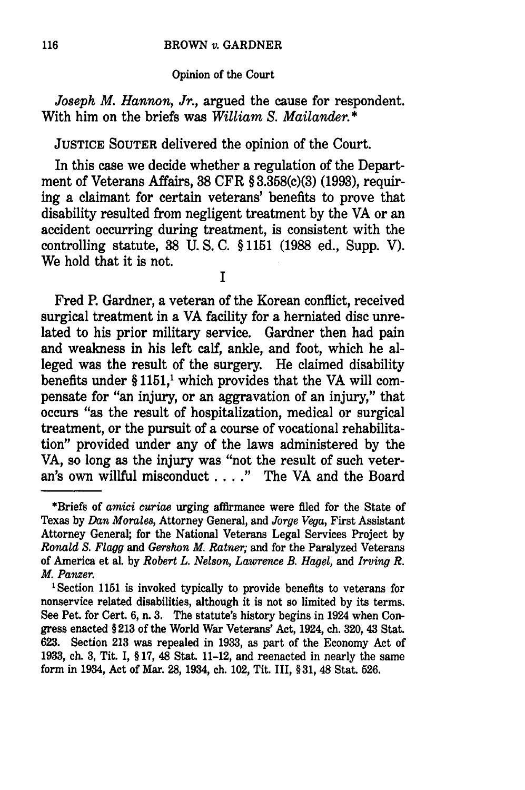#### BROWN *v.* GARDNER

#### Opinion of the Court

*Joseph M. Hannon, Jr.,* argued the cause for respondent. With him on the briefs was *William S. Mailander.* **\***

**JUSTICE SOUTER** delivered the opinion of the Court.

In this case we decide whether a regulation of the Department of Veterans Affairs, **38** CFR § **3.358(c)(3) (1993),** requiring a claimant for certain veterans' benefits to prove that disability resulted from negligent treatment **by** the VA or an accident occurring during treatment, is consistent with the controlling statute, **38 U. S. C.** § **1151 (1988** ed., Supp. V). We hold that it is not.

**I**

Fred P. Gardner, a veteran of the Korean conflict, received surgical treatment in a VA facility for a herniated disc unrelated to his prior military service. Gardner then had pain and weakness in his left calf, ankle, and foot, which he alleged was the result of the surgery. He claimed disability benefits under  $§ 1151<sup>1</sup>$  which provides that the VA will compensate for "an injury, or an aggravation of an injury," that occurs "as the result of hospitalization, medical or surgical treatment, or the pursuit of a course of vocational rehabilitation" provided under any of the laws administered by the VA, so long as the injury was "not the result of such veteran's own willful misconduct .... **."** The VA and the Board

<sup>\*</sup>Briefs of *amici curiae* urging affirmance were filed for the State of Texas by *Dan Morales,* Attorney General, and *Jorge Vega,* First Assistant Attorney General; for the National Veterans Legal Services Project by *Ronald S. Flagg* and *Gershon M. Ratner;* and for the Paralyzed Veterans of America et al. by *Robert L. Nelson, Lawrence B. Hagel,* and *Irving R. M. Panzer.*

<sup>&#</sup>x27;Section 1151 is invoked typically to provide benefits to veterans for nonservice related disabilities, although it is not so limited by its terms. See Pet. for Cert. 6, n. 3. The statute's history begins in 1924 when Congress enacted § **213** of the World War Veterans' Act, 1924, ch. 320, 43 Stat. 623. Section **213** was repealed in 1933, as part of the Economy Act of **1933,** ch. **3,** Tit. I, § 17, 48 Stat. 11-12, and reenacted in nearly the same form in 1934, Act of Mar. 28, 1934, ch. 102, Tit. III, §31, 48 Stat. 526.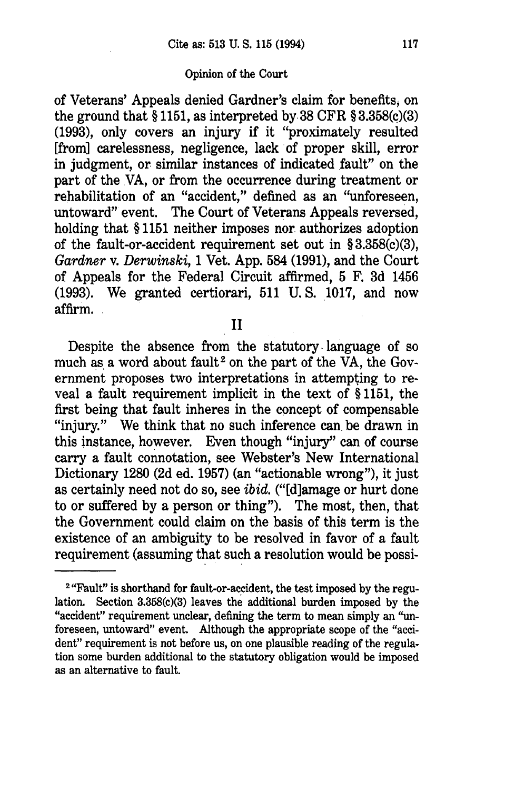of Veterans' Appeals denied Gardner's claim for benefits, on the ground that  $\S 1151$ , as interpreted by 38 CFR  $\S 3.358(c)(3)$ (1993), only covers an injury if it "proximately resulted [from] carelessness, negligence, lack of proper skill, error in judgment, or similar instances of indicated fault" on the part of the VA, or from the occurrence during treatment or rehabilitation of an "accident," defined as an "unforeseen, untoward" event. The Court of Veterans Appeals reversed, holding that § 1151 neither imposes nor authorizes adoption of the fault-or-accident requirement set out in § 3.358(c)(3), *Gardner* v. *Derwinski,* 1 Vet. App. 584 (1991), and the Court of Appeals for the Federal Circuit affirmed, 5 F. 3d 1456 (1993). We granted certiorari, 511 U. S. 1017, and now affirm.

II

Despite the absence from the statutory language of so much as a word about fault<sup>2</sup> on the part of the VA, the Government proposes two interpretations in attempting to reveal a fault requirement implicit in the text of § 1151, the first being that fault inheres in the concept of compensable "injury." We think that no such inference can. be drawn in this instance, however. Even though "injury" can of course carry a fault connotation, see Webster's New International Dictionary 1280 (2d ed. 1957) (an "actionable wrong"), it just as certainly need not do so, see *ibid.* ("[d]amage or hurt done to or suffered by a person or thing"). The most, then, that the Government could claim on the basis of this term is the existence of an ambiguity to be resolved in favor of a fault requirement (assuming that such a resolution would be possi-

<sup>&</sup>lt;sup>2</sup> "Fault" is shorthand for fault-or-accident, the test imposed by the regulation. Section 3.358(c)(3) leaves the additional burden imposed by the "accident" requirement unclear, defining the term to mean simply an "unforeseen, untoward" event. Although the appropriate scope of the "accident" requirement is not before us, on one plausible reading of the regulation some burden additional to the statutory obligation would be imposed as an alternative to fault.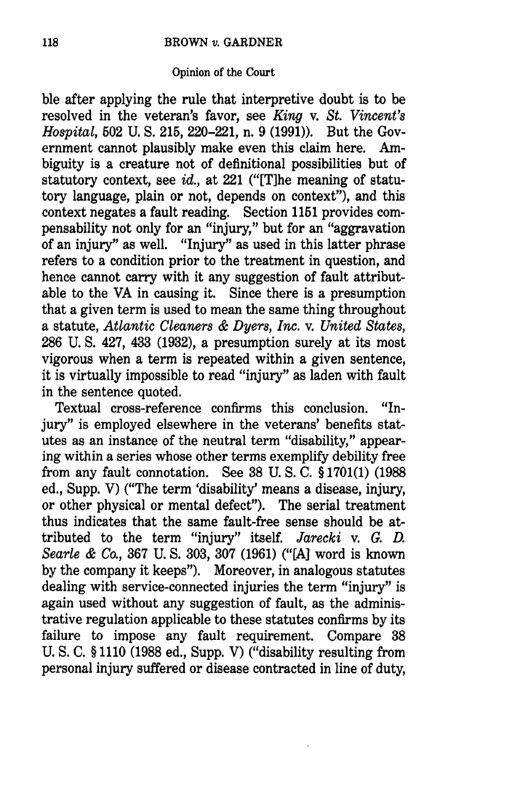ble after applying the rule that interpretive doubt is to be resolved in the veteran's favor, see *King v. St. Vincent's Hospital,* 502 U. **S.** 215, 220-221, n. 9 (1991)). But the Government cannot plausibly make even this claim here. Ambiguity is a creature not of definitional possibilities but of statutory context, see *id.,* at 221 ("[T]he meaning of statutory language, plain or not, depends on context"), and this context negates a fault reading. Section 1151 provides compensability not only for an "injury," but for an "aggravation of an injury" as well. "Injury" as used in this latter phrase refers to a condition prior to the treatment in question, and hence cannot carry with it any suggestion of fault attributable to the VA in causing it. Since there is a presumption that a given term is used to mean the same thing throughout a statute, *Atlantic Cleaners & Dyers, Inc.* v. *United States,* 286 U. **S.** 427, 433 (1932), a presumption surely at its most vigorous when a term is repeated within a given sentence, it is virtually impossible to read "injury" as laden with fault in the sentence quoted.

Textual cross-reference confirms this conclusion. "Injury" is employed elsewhere in the veterans' benefits statutes as an instance of the neutral term "disability," appearing within a series whose other terms exemplify debility free from any fault connotation. See 38 U. S. C. § 1701(1) (1988 ed., Supp. V) ("The term 'disability' means a disease, injury, or other physical or mental defect"). The serial treatment thus indicates that the same fault-free sense should be attributed to the term "injury" itself. *Jarecki v. G. D. Searle & Co.,* 367 U. **S.** 303, 307 (1961) ("[A] word is known by the company it keeps"). Moreover, in analogous statutes dealing with service-connected injuries the term "injury" is again used without any suggestion of fault, as the administrative regulation applicable to these statutes confirms by its failure to impose any fault requirement. Compare 38 U. S. C. § 1110 (1988 ed., Supp. V) ("disability resulting from personal injury suffered or disease contracted in line of duty,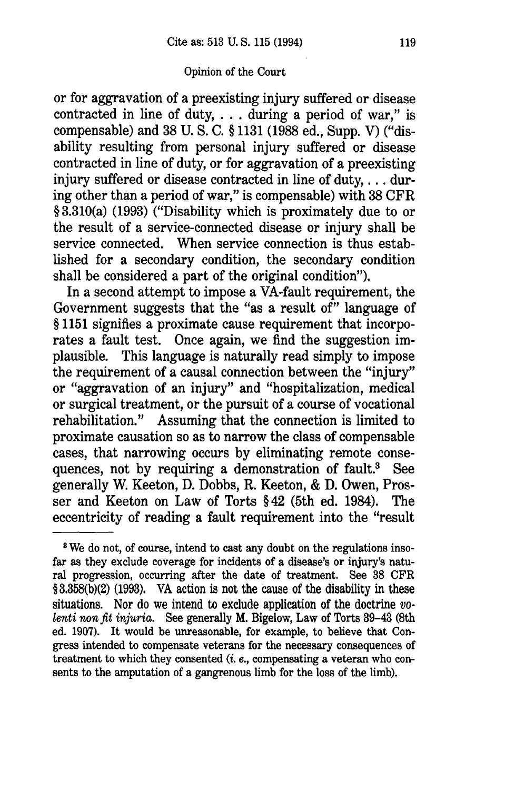or for aggravation of a preexisting injury suffered or disease contracted in line of duty,... during a period of war," is compensable) and 38 U. S. C. § 1131 (1988 ed., Supp. V) ("disability resulting from personal injury suffered or disease contracted in line of duty, or for aggravation of a preexisting injury suffered or disease contracted in line of duty, ... during other than a period of war," is compensable) with 38 CFR § 3.310(a) (1993) ("Disability which is proximately due to or the result of a service-connected disease or injury shall be service connected. When service connection is thus established for a secondary condition, the secondary condition shall be considered a part of the original condition").

In a second attempt to impose a VA-fault requirement, the Government suggests that the "as a result of" language of § 1151 signifies a proximate cause requirement that incorporates a fault test. Once again, we find the suggestion implausible. This language is naturally read simply to impose the requirement of a causal connection between the "injury" or "aggravation of an injury" and "hospitalization, medical or surgical treatment, or the pursuit of a course of vocational rehabilitation." Assuming that the connection is limited to proximate causation so as to narrow the class of compensable cases, that narrowing occurs by eliminating remote consequences, not by requiring a demonstration of fault.<sup>3</sup> See generally W. Keeton, D. Dobbs, R. Keeton, & D. Owen, Prosser and Keeton on Law of Torts § 42 (5th ed. 1984). The eccentricity of reading a fault requirement into the "result

<sup>&</sup>lt;sup>8</sup> We do not, of course, intend to cast any doubt on the regulations insofar as they exclude coverage for incidents of a disease's or injury's natural progression, occurring after the date of treatment. See 38 CFR § 3.358(b)(2) (1993). VA action is not the cause of the disability in these situations. Nor do we intend to exclude application of the doctrine *volenti non fit injuria.* See generally M. Bigelow, Law of Torts 39-43 (8th ed. 1907). It would be unreasonable, for example, to believe that Congress intended to compensate veterans for the necessary consequences of treatment to which they consented *(i. e.,* compensating a veteran who consents to the amputation of a gangrenous limb for the loss of the limb).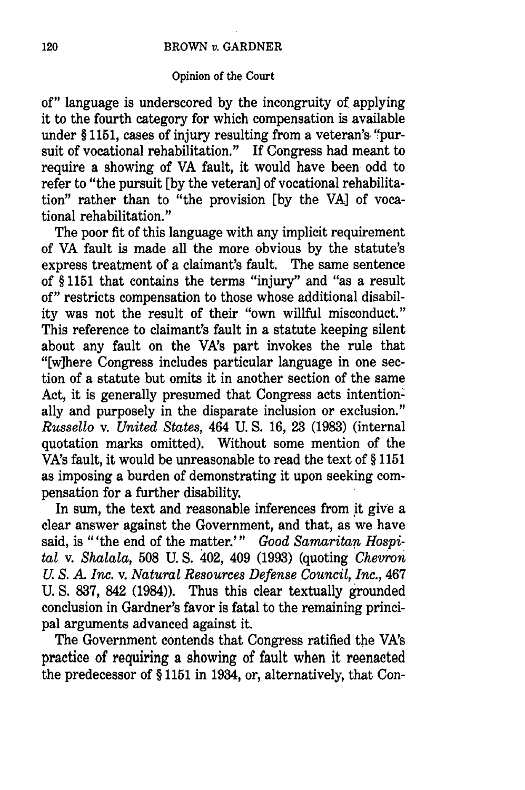of" language is underscored by the incongruity of applying it to the fourth category for which compensation is available under § 1151, cases of injury resulting from a veteran's 'fpursuit of vocational rehabilitation." If Congress had meant to require a showing of VA fault, it would have been odd to refer to "the pursuit [by the veteran] of vocational rehabilitation" rather than to "the provision [by the VA] of vocational rehabilitation."

The poor fit of this language with any implicit requirement of VA fault is made all the more obvious by the statute's express treatment of a claimant's fault. The same sentence of § 1151 that contains the terms "injury" and "as a result of" restricts compensation to those whose additional disability was not the result of their "own willful misconduct." This reference to claimant's fault in a statute keeping silent about any fault on the VA's part invokes the rule that "[w]here Congress includes particular language in one section of a statute but omits it in another section of the same Act, it is generally presumed that Congress acts intentionally and purposely in the disparate inclusion or exclusion." *Russello* v. *United States,* 464 U. S. 16, 23 (1983) (internal quotation marks omitted). Without some mention of the VA's fault, it would be unreasonable to read the text of § 1151 as imposing a burden of demonstrating it upon seeking compensation for a further disability.

In sum, the text and reasonable inferences from it give a clear answer against the Government, and that, as we have said, is "'the end of the matter."' *Good Samaritan Hospi*tal v. *Shalala,* 508 U. S. 402, 409 (1993) (quoting *Chevron U S. A. Inc.* v. *Natural Resources Defense Council, Inc.,* 467 U. S. 837, 842 (1984)). Thus this clear textually grounded conclusion in Gardner's favor is fatal to the remaining principal arguments advanced against it.

The Government contends that Congress ratified the VA's practice of requiring **a** showing of fault when it reenacted the predecessor of § 1151 in 1934, or, alternatively, that Con-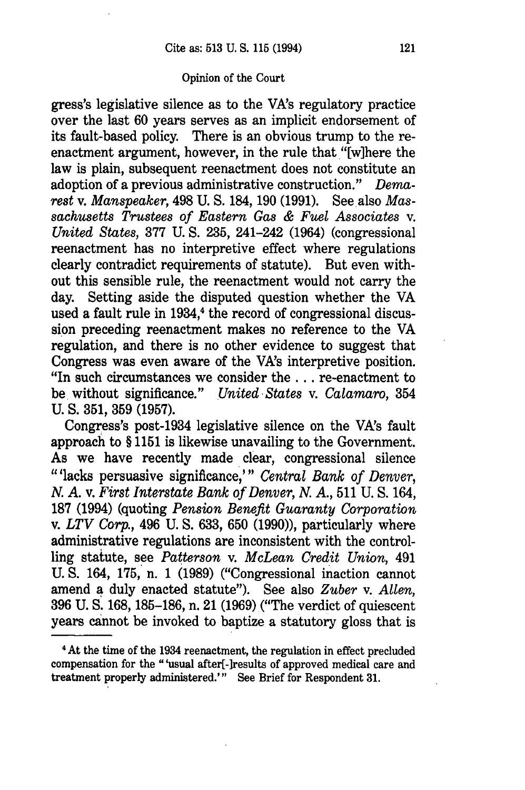gress's legislative silence as to the VA's regulatory practice over the last 60 years serves as an implicit endorsement of its fault-based policy. There is an obvious trump to the reenactment argument, however, in the rule that "[w]here the law is plain, subsequent reenactment does not constitute an adoption of a previous administrative construction." *Demarest* v. *Manspeaker,* 498 U. S. 184, 190 (1991). See also *Massachusetts Trustees of Eastern Gas & Fuel Associates v. United States,* 377 U. S. 235, 241-242 (1964) (congressional reenactment has no interpretive effect where regulations clearly contradict requirements of statute). But even without this sensible rule, the reenactment would not carry the day. Setting aside the disputed question whether the VA used a fault rule in 1934,<sup>4</sup> the record of congressional discussion preceding reenactment makes no reference to the VA regulation, and there is no other evidence to suggest that Congress was even aware of the VA's interpretive position. "In such circumstances we consider the.., re-enactment to be without significance." *United-States* v. *Calamaro,* 354 U. **S.** 351, 359 (1957).

Congress's post-1934 legislative silence on the VA's fault approach to § 1151 is likewise unavailing to the Government. As we have recently made clear, congressional silence "'lacks persuasive significance,"' *Central Bank of Denver,* **N.** *A.* v. *First Interstate Bank of Denver, N. A.,* 511 U. S. 164, 187 (1994) (quoting *Pension Benefit Guaranty Corporation* v. *LTV Corp.,* 496 U. **S.** 633, 650 (1990)), particularly where administrative regulations are inconsistent with the controlling statute, see *Patterson* v. *McLean Credit Union,* 491 U. **S.** 164, 175, n. 1 (1989) ("Congressional inaction cannot amend a duly enacted statute"). See also *Zuber* v. *Allen,* 396 U. S. 168, 185-186, n. 21 (1969) ("The verdict of quiescent years cannot be invoked to baptize a statutory gloss that is

<sup>4</sup> At the time of the 1934 reenactment, the regulation in effect precluded compensation for the "'usual after[-]results of approved medical care and treatment properly administered."' See Brief for Respondent **31.**